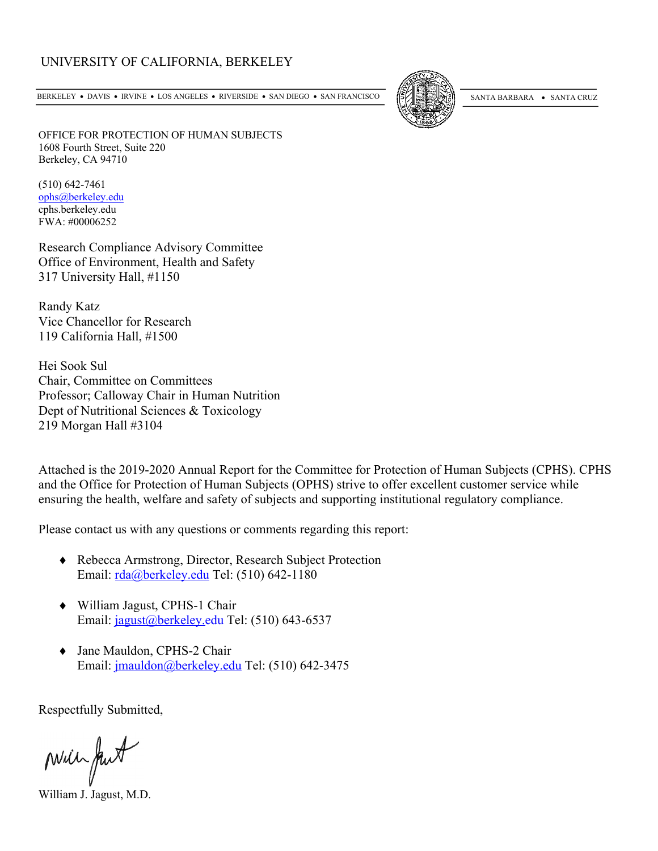## UNIVERSITY OF CALIFORNIA, BERKELEY

BERKELEY • DAVIS • IRVINE • LOS ANGELES • RIVERSIDE • SAN DIEGO • SAN FRANCISCO (SANTA BARBARA • SANTA CRUZ



OFFICE FOR PROTECTION OF HUMAN SUBJECTS 1608 Fourth Street, Suite 220 Berkeley, CA 94710

(510) 642-7461 ophs@berkeley.edu cphs.berkeley.edu FWA: #00006252

Research Compliance Advisory Committee Office of Environment, Health and Safety 317 University Hall, #1150

Randy Katz Vice Chancellor for Research 119 California Hall, #1500

Hei Sook Sul Chair, Committee on Committees Professor; Calloway Chair in Human Nutrition Dept of Nutritional Sciences & Toxicology 219 Morgan Hall #3104

Attached is the 2019-2020 Annual Report for the Committee for Protection of Human Subjects (CPHS). CPHS and the Office for Protection of Human Subjects (OPHS) strive to offer excellent customer service while ensuring the health, welfare and safety of subjects and supporting institutional regulatory compliance.

Please contact us with any questions or comments regarding this report:

- ◆ Rebecca Armstrong, Director, Research Subject Protection Email: rda@berkeley.edu Tel: (510) 642-1180
- ¨ William Jagust, CPHS-1 Chair Email: jagust@berkeley.edu Tel: (510) 643-6537
- Jane Mauldon, CPHS-2 Chair Email: jmauldon@berkeley.edu Tel: (510) 642-3475

Respectfully Submitted,

Min fut

William J. Jagust, M.D.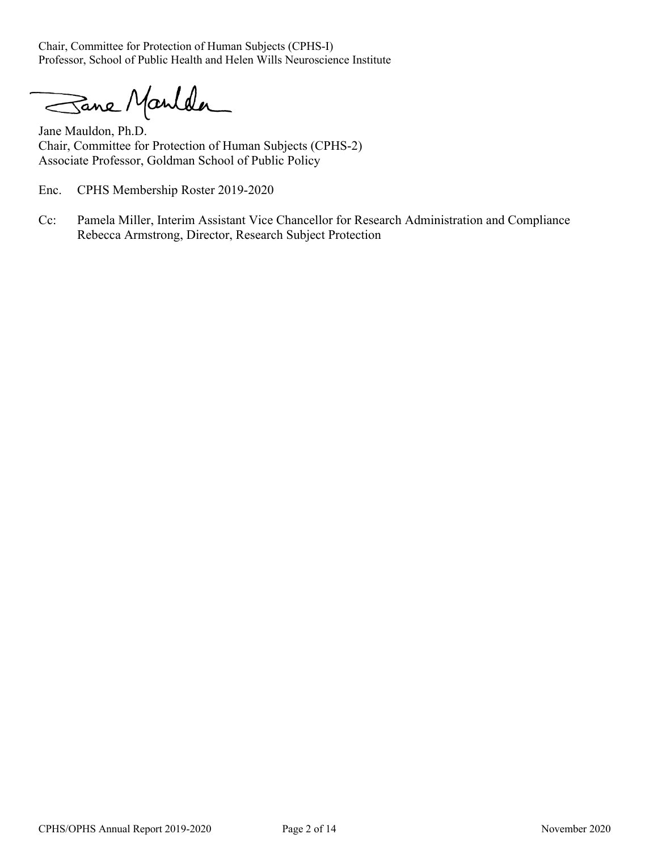Chair, Committee for Protection of Human Subjects (CPHS-I) Professor, School of Public Health and Helen Wills Neuroscience Institute

Sane Manlder

Jane Mauldon, Ph.D. Chair, Committee for Protection of Human Subjects (CPHS-2) Associate Professor, Goldman School of Public Policy

Enc. CPHS Membership Roster 2019-2020

Cc: Pamela Miller, Interim Assistant Vice Chancellor for Research Administration and Compliance Rebecca Armstrong, Director, Research Subject Protection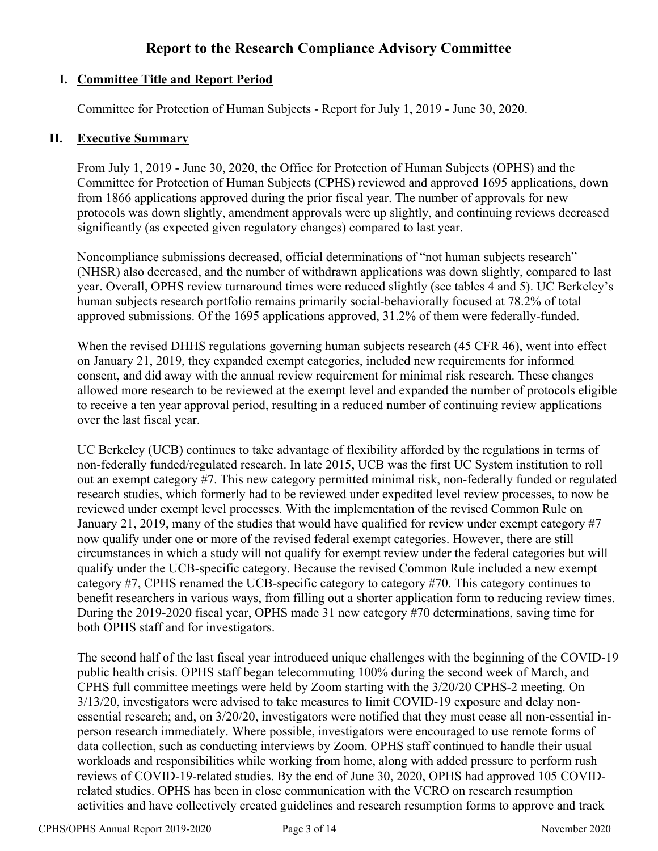## **Report to the Research Compliance Advisory Committee**

## **I. Committee Title and Report Period**

Committee for Protection of Human Subjects - Report for July 1, 2019 - June 30, 2020.

### **II. Executive Summary**

From July 1, 2019 - June 30, 2020, the Office for Protection of Human Subjects (OPHS) and the Committee for Protection of Human Subjects (CPHS) reviewed and approved 1695 applications, down from 1866 applications approved during the prior fiscal year. The number of approvals for new protocols was down slightly, amendment approvals were up slightly, and continuing reviews decreased significantly (as expected given regulatory changes) compared to last year.

Noncompliance submissions decreased, official determinations of "not human subjects research" (NHSR) also decreased, and the number of withdrawn applications was down slightly, compared to last year. Overall, OPHS review turnaround times were reduced slightly (see tables 4 and 5). UC Berkeley's human subjects research portfolio remains primarily social-behaviorally focused at 78.2% of total approved submissions. Of the 1695 applications approved, 31.2% of them were federally-funded.

When the revised DHHS regulations governing human subjects research (45 CFR 46), went into effect on January 21, 2019, they expanded exempt categories, included new requirements for informed consent, and did away with the annual review requirement for minimal risk research. These changes allowed more research to be reviewed at the exempt level and expanded the number of protocols eligible to receive a ten year approval period, resulting in a reduced number of continuing review applications over the last fiscal year.

UC Berkeley (UCB) continues to take advantage of flexibility afforded by the regulations in terms of non-federally funded/regulated research. In late 2015, UCB was the first UC System institution to roll out an exempt category #7. This new category permitted minimal risk, non-federally funded or regulated research studies, which formerly had to be reviewed under expedited level review processes, to now be reviewed under exempt level processes. With the implementation of the revised Common Rule on January 21, 2019, many of the studies that would have qualified for review under exempt category #7 now qualify under one or more of the revised federal exempt categories. However, there are still circumstances in which a study will not qualify for exempt review under the federal categories but will qualify under the UCB-specific category. Because the revised Common Rule included a new exempt category #7, CPHS renamed the UCB-specific category to category #70. This category continues to benefit researchers in various ways, from filling out a shorter application form to reducing review times. During the 2019-2020 fiscal year, OPHS made 31 new category #70 determinations, saving time for both OPHS staff and for investigators.

The second half of the last fiscal year introduced unique challenges with the beginning of the COVID-19 public health crisis. OPHS staff began telecommuting 100% during the second week of March, and CPHS full committee meetings were held by Zoom starting with the 3/20/20 CPHS-2 meeting. On 3/13/20, investigators were advised to take measures to limit COVID-19 exposure and delay nonessential research; and, on 3/20/20, investigators were notified that they must cease all non-essential inperson research immediately. Where possible, investigators were encouraged to use remote forms of data collection, such as conducting interviews by Zoom. OPHS staff continued to handle their usual workloads and responsibilities while working from home, along with added pressure to perform rush reviews of COVID-19-related studies. By the end of June 30, 2020, OPHS had approved 105 COVIDrelated studies. OPHS has been in close communication with the VCRO on research resumption activities and have collectively created guidelines and research resumption forms to approve and track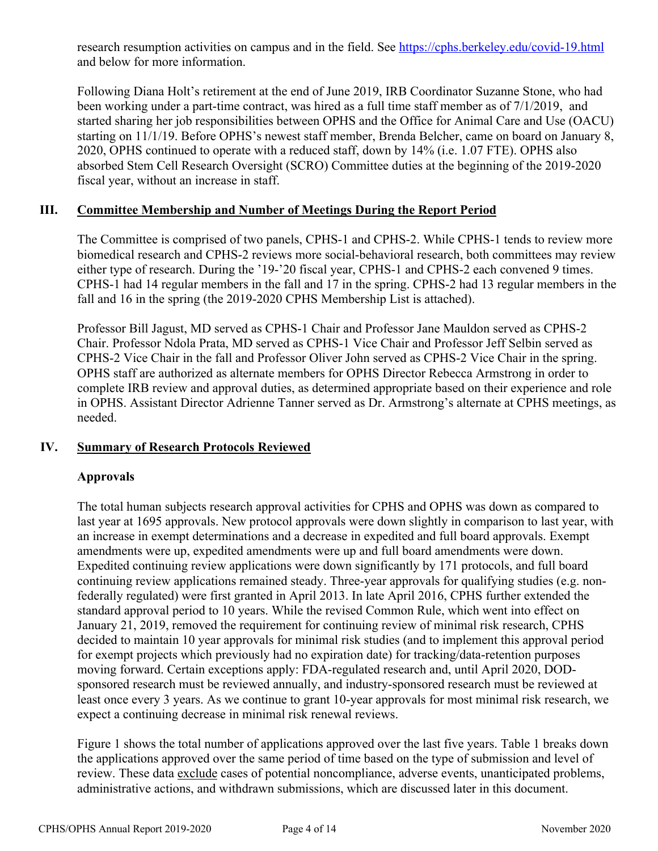research resumption activities on campus and in the field. See https://cphs.berkeley.edu/covid-19.html and below for more information.

Following Diana Holt's retirement at the end of June 2019, IRB Coordinator Suzanne Stone, who had been working under a part-time contract, was hired as a full time staff member as of 7/1/2019, and started sharing her job responsibilities between OPHS and the Office for Animal Care and Use (OACU) starting on 11/1/19. Before OPHS's newest staff member, Brenda Belcher, came on board on January 8, 2020, OPHS continued to operate with a reduced staff, down by 14% (i.e. 1.07 FTE). OPHS also absorbed Stem Cell Research Oversight (SCRO) Committee duties at the beginning of the 2019-2020 fiscal year, without an increase in staff.

#### **III. Committee Membership and Number of Meetings During the Report Period**

The Committee is comprised of two panels, CPHS-1 and CPHS-2. While CPHS-1 tends to review more biomedical research and CPHS-2 reviews more social-behavioral research, both committees may review either type of research. During the '19-'20 fiscal year, CPHS-1 and CPHS-2 each convened 9 times. CPHS-1 had 14 regular members in the fall and 17 in the spring. CPHS-2 had 13 regular members in the fall and 16 in the spring (the 2019-2020 CPHS Membership List is attached).

Professor Bill Jagust, MD served as CPHS-1 Chair and Professor Jane Mauldon served as CPHS-2 Chair. Professor Ndola Prata, MD served as CPHS-1 Vice Chair and Professor Jeff Selbin served as CPHS-2 Vice Chair in the fall and Professor Oliver John served as CPHS-2 Vice Chair in the spring. OPHS staff are authorized as alternate members for OPHS Director Rebecca Armstrong in order to complete IRB review and approval duties, as determined appropriate based on their experience and role in OPHS. Assistant Director Adrienne Tanner served as Dr. Armstrong's alternate at CPHS meetings, as needed.

### **IV. Summary of Research Protocols Reviewed**

#### **Approvals**

The total human subjects research approval activities for CPHS and OPHS was down as compared to last year at 1695 approvals. New protocol approvals were down slightly in comparison to last year, with an increase in exempt determinations and a decrease in expedited and full board approvals. Exempt amendments were up, expedited amendments were up and full board amendments were down. Expedited continuing review applications were down significantly by 171 protocols, and full board continuing review applications remained steady. Three-year approvals for qualifying studies (e.g. nonfederally regulated) were first granted in April 2013. In late April 2016, CPHS further extended the standard approval period to 10 years. While the revised Common Rule, which went into effect on January 21, 2019, removed the requirement for continuing review of minimal risk research, CPHS decided to maintain 10 year approvals for minimal risk studies (and to implement this approval period for exempt projects which previously had no expiration date) for tracking/data-retention purposes moving forward. Certain exceptions apply: FDA-regulated research and, until April 2020, DODsponsored research must be reviewed annually, and industry-sponsored research must be reviewed at least once every 3 years. As we continue to grant 10-year approvals for most minimal risk research, we expect a continuing decrease in minimal risk renewal reviews.

Figure 1 shows the total number of applications approved over the last five years. Table 1 breaks down the applications approved over the same period of time based on the type of submission and level of review. These data exclude cases of potential noncompliance, adverse events, unanticipated problems, administrative actions, and withdrawn submissions, which are discussed later in this document.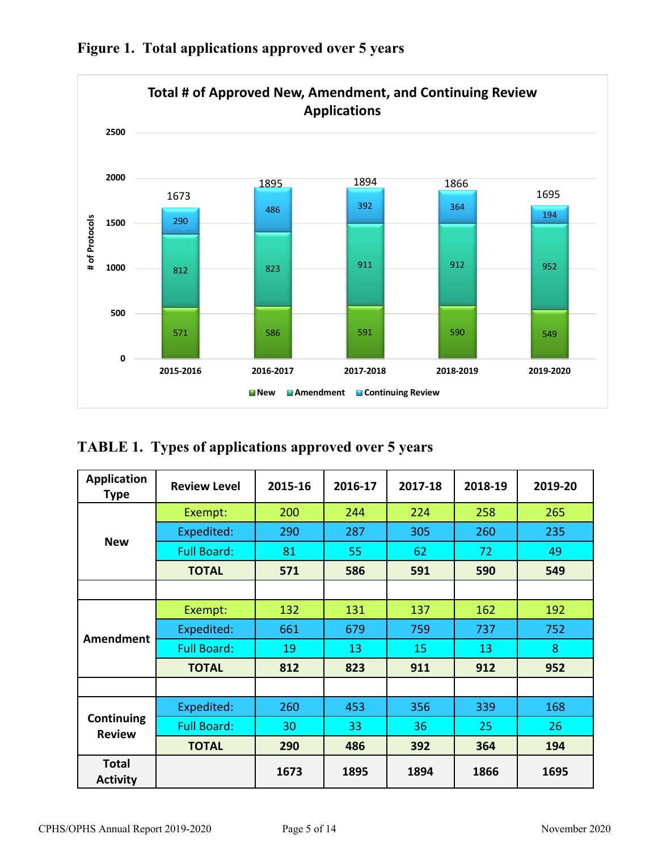

**Figure 1. Total applications approved over 5 years**

# **TABLE 1. Types of applications approved over 5 years**

| <b>Application</b><br><b>Type</b> | <b>Review Level</b> | 2015-16 | 2016-17 | 2017-18 | 2018-19 | 2019-20 |
|-----------------------------------|---------------------|---------|---------|---------|---------|---------|
|                                   | Exempt:             | 200     | 244     | 224     | 258     | 265     |
|                                   | Expedited:          | 290     | 287     | 305     | 260     | 235     |
| <b>New</b>                        | <b>Full Board:</b>  | 81      | 55      | 62      | 72      | 49      |
|                                   | <b>TOTAL</b>        | 571     | 586     | 591     | 590     | 549     |
|                                   |                     |         |         |         |         |         |
|                                   | Exempt:             | 132     | 131     | 137     | 162     | 192     |
|                                   | Expedited:          | 661     | 679     | 759     | 737     | 752     |
| Amendment                         | <b>Full Board:</b>  | 19      | 13      | 15      | 13      | 8       |
|                                   | <b>TOTAL</b>        | 812     | 823     | 911     | 912     | 952     |
|                                   |                     |         |         |         |         |         |
|                                   | Expedited:          | 260     | 453     | 356     | 339     | 168     |
| Continuing<br><b>Review</b>       | <b>Full Board:</b>  | 30      | 33      | 36      | 25      | 26      |
|                                   | <b>TOTAL</b>        | 290     | 486     | 392     | 364     | 194     |
| <b>Total</b><br><b>Activity</b>   |                     | 1673    | 1895    | 1894    | 1866    | 1695    |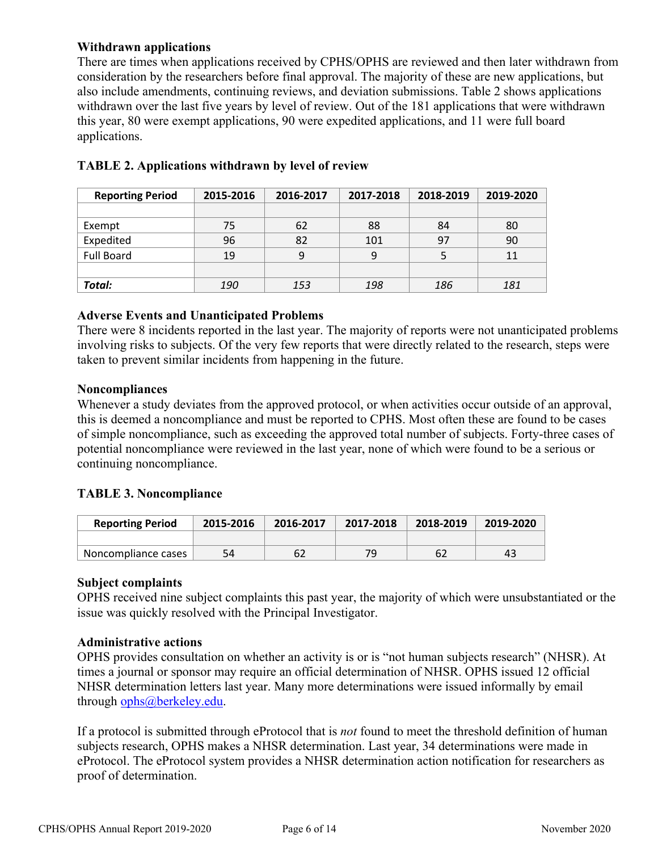#### **Withdrawn applications**

There are times when applications received by CPHS/OPHS are reviewed and then later withdrawn from consideration by the researchers before final approval. The majority of these are new applications, but also include amendments, continuing reviews, and deviation submissions. Table 2 shows applications withdrawn over the last five years by level of review. Out of the 181 applications that were withdrawn this year, 80 were exempt applications, 90 were expedited applications, and 11 were full board applications.

| <b>Reporting Period</b> | 2015-2016 | 2016-2017 | 2017-2018 | 2018-2019 | 2019-2020 |
|-------------------------|-----------|-----------|-----------|-----------|-----------|
|                         |           |           |           |           |           |
| Exempt                  | 75        | 62        | 88        | 84        | 80        |
| Expedited               | 96        | 82        | 101       | 97        | 90        |
| <b>Full Board</b>       | 19        | 9         | 9         |           | 11        |
|                         |           |           |           |           |           |
| Total:                  | 190       | 153       | 198       | 186       | 181       |

## **TABLE 2. Applications withdrawn by level of review**

#### **Adverse Events and Unanticipated Problems**

There were 8 incidents reported in the last year. The majority of reports were not unanticipated problems involving risks to subjects. Of the very few reports that were directly related to the research, steps were taken to prevent similar incidents from happening in the future.

#### **Noncompliances**

Whenever a study deviates from the approved protocol, or when activities occur outside of an approval, this is deemed a noncompliance and must be reported to CPHS. Most often these are found to be cases of simple noncompliance, such as exceeding the approved total number of subjects. Forty-three cases of potential noncompliance were reviewed in the last year, none of which were found to be a serious or continuing noncompliance.

### **TABLE 3. Noncompliance**

| <b>Reporting Period</b> | 2015-2016 | 2016-2017 | 2017-2018 | 2018-2019 | 2019-2020 |
|-------------------------|-----------|-----------|-----------|-----------|-----------|
|                         |           |           |           |           |           |
| Noncompliance cases     | 54        | 62        | 79        | 62        |           |

#### **Subject complaints**

OPHS received nine subject complaints this past year, the majority of which were unsubstantiated or the issue was quickly resolved with the Principal Investigator.

#### **Administrative actions**

OPHS provides consultation on whether an activity is or is "not human subjects research" (NHSR). At times a journal or sponsor may require an official determination of NHSR. OPHS issued 12 official NHSR determination letters last year. Many more determinations were issued informally by email through ophs@berkeley.edu.

If a protocol is submitted through eProtocol that is *not* found to meet the threshold definition of human subjects research, OPHS makes a NHSR determination. Last year, 34 determinations were made in eProtocol. The eProtocol system provides a NHSR determination action notification for researchers as proof of determination.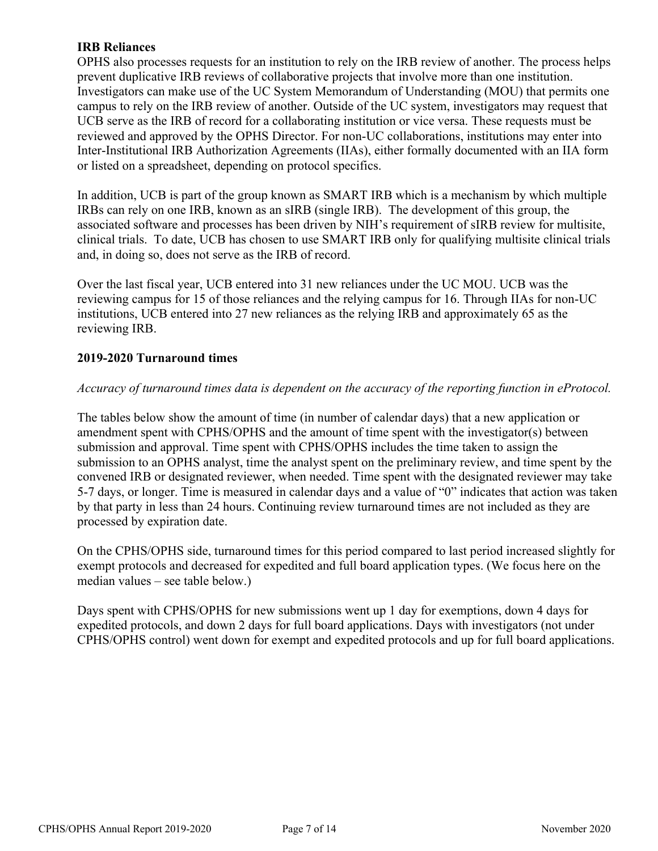### **IRB Reliances**

OPHS also processes requests for an institution to rely on the IRB review of another. The process helps prevent duplicative IRB reviews of collaborative projects that involve more than one institution. Investigators can make use of the UC System Memorandum of Understanding (MOU) that permits one campus to rely on the IRB review of another. Outside of the UC system, investigators may request that UCB serve as the IRB of record for a collaborating institution or vice versa. These requests must be reviewed and approved by the OPHS Director. For non-UC collaborations, institutions may enter into Inter-Institutional IRB Authorization Agreements (IIAs), either formally documented with an IIA form or listed on a spreadsheet, depending on protocol specifics.

In addition, UCB is part of the group known as SMART IRB which is a mechanism by which multiple IRBs can rely on one IRB, known as an sIRB (single IRB). The development of this group, the associated software and processes has been driven by NIH's requirement of sIRB review for multisite, clinical trials. To date, UCB has chosen to use SMART IRB only for qualifying multisite clinical trials and, in doing so, does not serve as the IRB of record.

Over the last fiscal year, UCB entered into 31 new reliances under the UC MOU. UCB was the reviewing campus for 15 of those reliances and the relying campus for 16. Through IIAs for non-UC institutions, UCB entered into 27 new reliances as the relying IRB and approximately 65 as the reviewing IRB.

### **2019-2020 Turnaround times**

## *Accuracy of turnaround times data is dependent on the accuracy of the reporting function in eProtocol.*

The tables below show the amount of time (in number of calendar days) that a new application or amendment spent with CPHS/OPHS and the amount of time spent with the investigator(s) between submission and approval. Time spent with CPHS/OPHS includes the time taken to assign the submission to an OPHS analyst, time the analyst spent on the preliminary review, and time spent by the convened IRB or designated reviewer, when needed. Time spent with the designated reviewer may take 5-7 days, or longer. Time is measured in calendar days and a value of "0" indicates that action was taken by that party in less than 24 hours. Continuing review turnaround times are not included as they are processed by expiration date.

On the CPHS/OPHS side, turnaround times for this period compared to last period increased slightly for exempt protocols and decreased for expedited and full board application types. (We focus here on the median values – see table below.)

Days spent with CPHS/OPHS for new submissions went up 1 day for exemptions, down 4 days for expedited protocols, and down 2 days for full board applications. Days with investigators (not under CPHS/OPHS control) went down for exempt and expedited protocols and up for full board applications.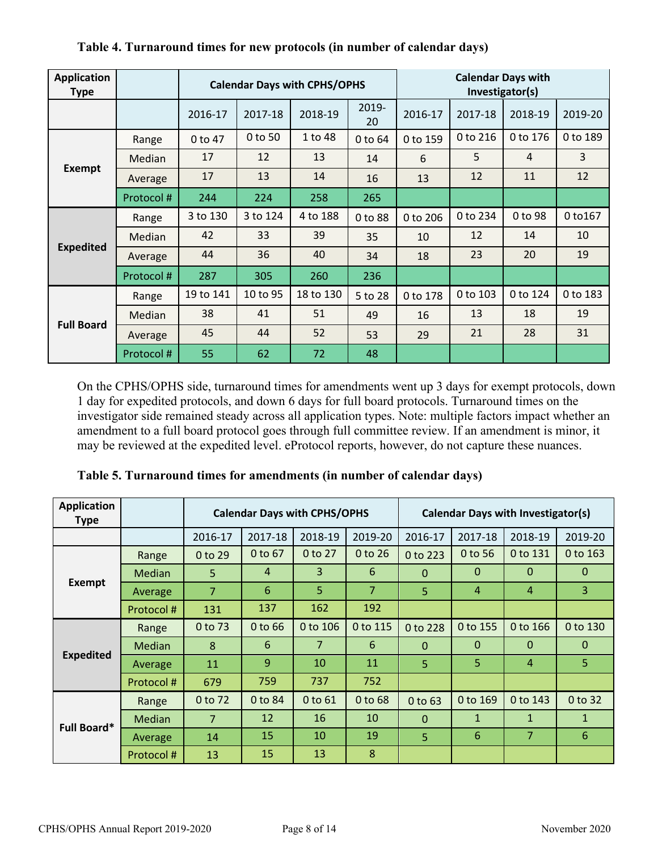| <b>Application</b><br><b>Type</b> |            | <b>Calendar Days with CPHS/OPHS</b> |          |           |             | <b>Calendar Days with</b><br>Investigator(s) |          |          |          |
|-----------------------------------|------------|-------------------------------------|----------|-----------|-------------|----------------------------------------------|----------|----------|----------|
|                                   |            | 2016-17                             | 2017-18  | 2018-19   | 2019-<br>20 | 2016-17                                      | 2017-18  | 2018-19  | 2019-20  |
|                                   | Range      | 0 to 47                             | 0 to 50  | 1 to 48   | 0 to 64     | 0 to 159                                     | 0 to 216 | 0 to 176 | 0 to 189 |
|                                   | Median     | 17                                  | 12       | 13        | 14          | 6                                            | 5        | 4        | 3        |
| <b>Exempt</b>                     | Average    | 17                                  | 13       | 14        | 16          | 13                                           | 12       | 11       | 12       |
|                                   | Protocol#  | 244                                 | 224      | 258       | 265         |                                              |          |          |          |
| <b>Expedited</b>                  | Range      | 3 to 130                            | 3 to 124 | 4 to 188  | 0 to 88     | 0 to 206                                     | 0 to 234 | 0 to 98  | 0 to 167 |
|                                   | Median     | 42                                  | 33       | 39        | 35          | 10                                           | 12       | 14       | 10       |
|                                   | Average    | 44                                  | 36       | 40        | 34          | 18                                           | 23       | 20       | 19       |
|                                   | Protocol#  | 287                                 | 305      | 260       | 236         |                                              |          |          |          |
| <b>Full Board</b>                 | Range      | 19 to 141                           | 10 to 95 | 18 to 130 | 5 to 28     | 0 to 178                                     | 0 to 103 | 0 to 124 | 0 to 183 |
|                                   | Median     | 38                                  | 41       | 51        | 49          | 16                                           | 13       | 18       | 19       |
|                                   | Average    | 45                                  | 44       | 52        | 53          | 29                                           | 21       | 28       | 31       |
|                                   | Protocol # | 55                                  | 62       | 72        | 48          |                                              |          |          |          |

## **Table 4. Turnaround times for new protocols (in number of calendar days)**

On the CPHS/OPHS side, turnaround times for amendments went up 3 days for exempt protocols, down 1 day for expedited protocols, and down 6 days for full board protocols. Turnaround times on the investigator side remained steady across all application types. Note: multiple factors impact whether an amendment to a full board protocol goes through full committee review. If an amendment is minor, it may be reviewed at the expedited level. eProtocol reports, however, do not capture these nuances.

| <b>Application</b><br>Type |               | <b>Calendar Days with CPHS/OPHS</b> |                |                |                | <b>Calendar Days with Investigator(s)</b> |              |                |              |
|----------------------------|---------------|-------------------------------------|----------------|----------------|----------------|-------------------------------------------|--------------|----------------|--------------|
|                            |               | 2016-17                             | 2017-18        | 2018-19        | 2019-20        | 2016-17                                   | 2017-18      | 2018-19        | 2019-20      |
|                            | Range         | 0 to 29                             | 0 to 67        | 0 to 27        | 0 to 26        | 0 to 223                                  | 0 to 56      | 0 to 131       | 0 to 163     |
|                            | <b>Median</b> | 5                                   | $\overline{4}$ | $\overline{3}$ | 6              | $\Omega$                                  | $\Omega$     | $\Omega$       | $\mathbf{0}$ |
| <b>Exempt</b>              | Average       | $\overline{7}$                      | 6              | 5              | $\overline{7}$ | 5                                         | 4            | $\overline{4}$ | 3            |
|                            | Protocol#     | 131                                 | 137            | 162            | 192            |                                           |              |                |              |
|                            | Range         | 0 to 73                             | $0$ to 66      | 0 to 106       | 0 to 115       | 0 to 228                                  | 0 to 155     | 0 to 166       | 0 to 130     |
|                            | <b>Median</b> | 8                                   | 6              | $\overline{7}$ | 6              | $\Omega$                                  | $\theta$     | $\mathbf{0}$   | $\Omega$     |
| <b>Expedited</b>           | Average       | 11                                  | 9              | 10             | 11             | $\overline{5}$                            | 5            | $\overline{4}$ | 5            |
|                            | Protocol#     | 679                                 | 759            | 737            | 752            |                                           |              |                |              |
|                            | Range         | 0 to 72                             | 0 to 84        | 0 to 61        | 0 to 68        | 0 to 63                                   | 0 to 169     | 0 to 143       | 0 to 32      |
| <b>Full Board*</b>         | <b>Median</b> | $\overline{7}$                      | 12             | 16             | 10             | $\Omega$                                  | $\mathbf{1}$ | $\mathbf{1}$   | $\mathbf{1}$ |
|                            | Average       | 14                                  | 15             | 10             | 19             | 5                                         | 6            | $\overline{7}$ | 6            |
|                            | Protocol#     | 13                                  | 15             | 13             | 8              |                                           |              |                |              |

**Table 5. Turnaround times for amendments (in number of calendar days)**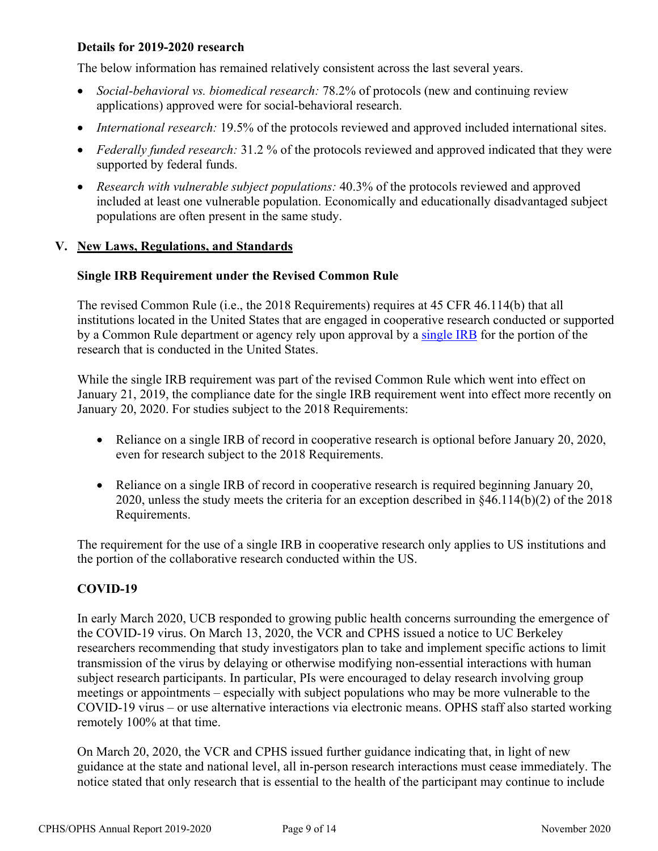#### **Details for 2019-2020 research**

The below information has remained relatively consistent across the last several years.

- *Social-behavioral vs. biomedical research:* 78.2% of protocols (new and continuing review applications) approved were for social-behavioral research.
- *International research:* 19.5% of the protocols reviewed and approved included international sites.
- *Federally funded research:* 31.2 % of the protocols reviewed and approved indicated that they were supported by federal funds.
- *Research with vulnerable subject populations:* 40.3% of the protocols reviewed and approved included at least one vulnerable population. Economically and educationally disadvantaged subject populations are often present in the same study.

#### **V. New Laws, Regulations, and Standards**

#### **Single IRB Requirement under the Revised Common Rule**

The revised Common Rule (i.e., the 2018 Requirements) requires at 45 CFR 46.114(b) that all institutions located in the United States that are engaged in cooperative research conducted or supported by a Common Rule department or agency rely upon approval by a single IRB for the portion of the research that is conducted in the United States.

While the single IRB requirement was part of the revised Common Rule which went into effect on January 21, 2019, the compliance date for the single IRB requirement went into effect more recently on January 20, 2020. For studies subject to the 2018 Requirements:

- Reliance on a single IRB of record in cooperative research is optional before January 20, 2020, even for research subject to the 2018 Requirements.
- Reliance on a single IRB of record in cooperative research is required beginning January 20, 2020, unless the study meets the criteria for an exception described in §46.114(b)(2) of the 2018 Requirements.

The requirement for the use of a single IRB in cooperative research only applies to US institutions and the portion of the collaborative research conducted within the US.

### **COVID-19**

In early March 2020, UCB responded to growing public health concerns surrounding the emergence of the COVID-19 virus. On March 13, 2020, the VCR and CPHS issued a notice to UC Berkeley researchers recommending that study investigators plan to take and implement specific actions to limit transmission of the virus by delaying or otherwise modifying non-essential interactions with human subject research participants. In particular, PIs were encouraged to delay research involving group meetings or appointments – especially with subject populations who may be more vulnerable to the COVID-19 virus – or use alternative interactions via electronic means. OPHS staff also started working remotely 100% at that time.

On March 20, 2020, the VCR and CPHS issued further guidance indicating that, in light of new guidance at the state and national level, all in-person research interactions must cease immediately. The notice stated that only research that is essential to the health of the participant may continue to include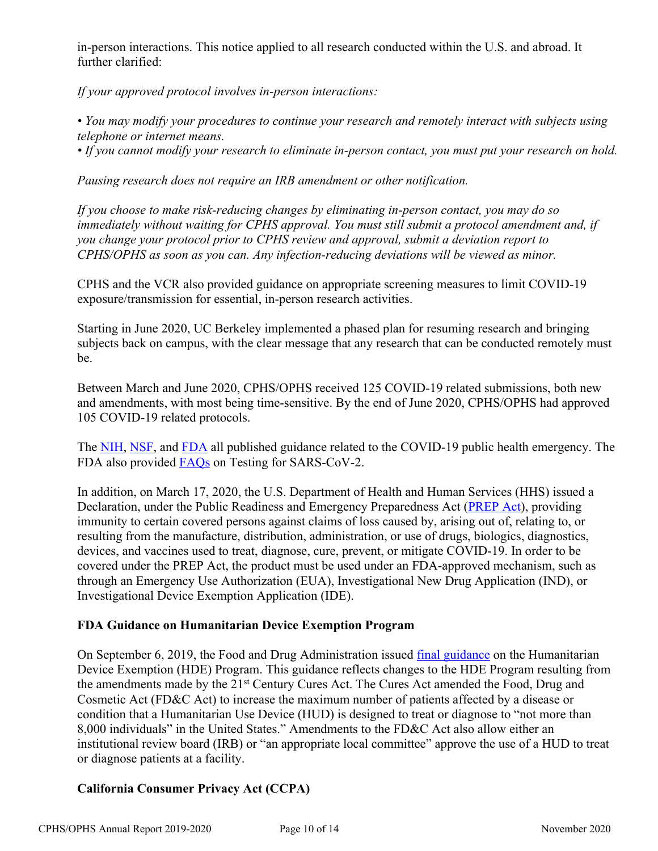in-person interactions. This notice applied to all research conducted within the U.S. and abroad. It further clarified:

*If your approved protocol involves in-person interactions:*

*• You may modify your procedures to continue your research and remotely interact with subjects using telephone or internet means.*

*• If you cannot modify your research to eliminate in-person contact, you must put your research on hold.* 

*Pausing research does not require an IRB amendment or other notification.*

*If you choose to make risk-reducing changes by eliminating in-person contact, you may do so immediately without waiting for CPHS approval. You must still submit a protocol amendment and, if you change your protocol prior to CPHS review and approval, submit a deviation report to CPHS/OPHS as soon as you can. Any infection-reducing deviations will be viewed as minor.*

CPHS and the VCR also provided guidance on appropriate screening measures to limit COVID-19 exposure/transmission for essential, in-person research activities.

Starting in June 2020, UC Berkeley implemented a phased plan for resuming research and bringing subjects back on campus, with the clear message that any research that can be conducted remotely must be.

Between March and June 2020, CPHS/OPHS received 125 COVID-19 related submissions, both new and amendments, with most being time-sensitive. By the end of June 2020, CPHS/OPHS had approved 105 COVID-19 related protocols.

The NIH, NSF, and FDA all published guidance related to the COVID-19 public health emergency. The FDA also provided FAQs on Testing for SARS-CoV-2.

In addition, on March 17, 2020, the U.S. Department of Health and Human Services (HHS) issued a Declaration, under the Public Readiness and Emergency Preparedness Act (PREP Act), providing immunity to certain covered persons against claims of loss caused by, arising out of, relating to, or resulting from the manufacture, distribution, administration, or use of drugs, biologics, diagnostics, devices, and vaccines used to treat, diagnose, cure, prevent, or mitigate COVID-19. In order to be covered under the PREP Act, the product must be used under an FDA-approved mechanism, such as through an Emergency Use Authorization (EUA), Investigational New Drug Application (IND), or Investigational Device Exemption Application (IDE).

### **FDA Guidance on Humanitarian Device Exemption Program**

On September 6, 2019, the Food and Drug Administration issued final guidance on the Humanitarian Device Exemption (HDE) Program. This guidance reflects changes to the HDE Program resulting from the amendments made by the 21<sup>st</sup> Century Cures Act. The Cures Act amended the Food, Drug and Cosmetic Act (FD&C Act) to increase the maximum number of patients affected by a disease or condition that a Humanitarian Use Device (HUD) is designed to treat or diagnose to "not more than 8,000 individuals" in the United States." Amendments to the FD&C Act also allow either an institutional review board (IRB) or "an appropriate local committee" approve the use of a HUD to treat or diagnose patients at a facility.

## **California Consumer Privacy Act (CCPA)**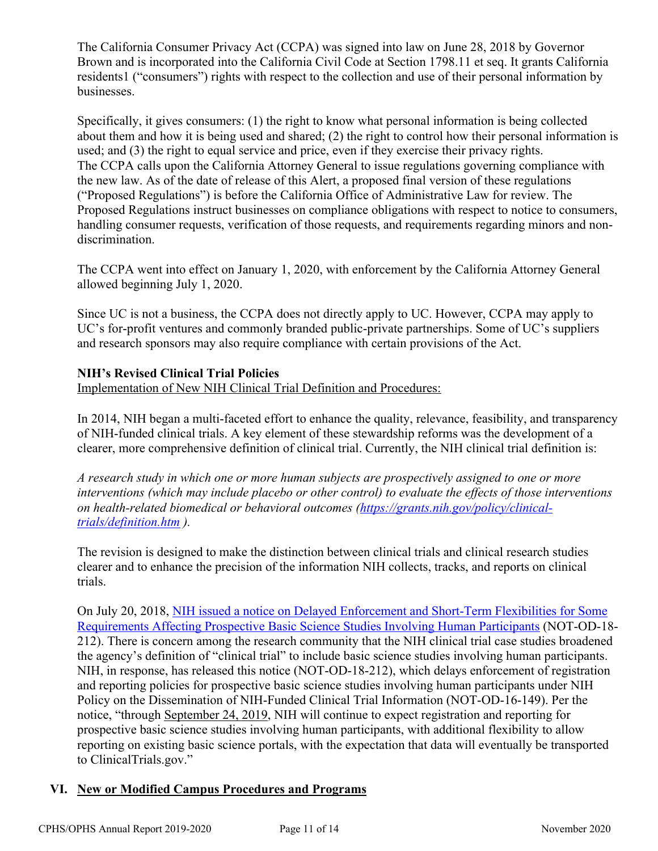The California Consumer Privacy Act (CCPA) was signed into law on June 28, 2018 by Governor Brown and is incorporated into the California Civil Code at Section 1798.11 et seq. It grants California residents1 ("consumers") rights with respect to the collection and use of their personal information by businesses.

Specifically, it gives consumers: (1) the right to know what personal information is being collected about them and how it is being used and shared; (2) the right to control how their personal information is used; and (3) the right to equal service and price, even if they exercise their privacy rights. The CCPA calls upon the California Attorney General to issue regulations governing compliance with the new law. As of the date of release of this Alert, a proposed final version of these regulations ("Proposed Regulations") is before the California Office of Administrative Law for review. The Proposed Regulations instruct businesses on compliance obligations with respect to notice to consumers, handling consumer requests, verification of those requests, and requirements regarding minors and nondiscrimination.

The CCPA went into effect on January 1, 2020, with enforcement by the California Attorney General allowed beginning July 1, 2020.

Since UC is not a business, the CCPA does not directly apply to UC. However, CCPA may apply to UC's for-profit ventures and commonly branded public-private partnerships. Some of UC's suppliers and research sponsors may also require compliance with certain provisions of the Act.

## **NIH's Revised Clinical Trial Policies**

Implementation of New NIH Clinical Trial Definition and Procedures:

In 2014, NIH began a multi-faceted effort to enhance the quality, relevance, feasibility, and transparency of NIH-funded clinical trials. A key element of these stewardship reforms was the development of a clearer, more comprehensive definition of clinical trial. Currently, the NIH clinical trial definition is:

*A research study in which one or more human subjects are prospectively assigned to one or more interventions (which may include placebo or other control) to evaluate the effects of those interventions on health-related biomedical or behavioral outcomes (https://grants.nih.gov/policy/clinicaltrials/definition.htm ).*

The revision is designed to make the distinction between clinical trials and clinical research studies clearer and to enhance the precision of the information NIH collects, tracks, and reports on clinical trials.

On July 20, 2018, NIH issued a notice on Delayed Enforcement and Short-Term Flexibilities for Some Requirements Affecting Prospective Basic Science Studies Involving Human Participants (NOT-OD-18- 212). There is concern among the research community that the NIH clinical trial case studies broadened the agency's definition of "clinical trial" to include basic science studies involving human participants. NIH, in response, has released this notice (NOT-OD-18-212), which delays enforcement of registration and reporting policies for prospective basic science studies involving human participants under NIH Policy on the Dissemination of NIH-Funded Clinical Trial Information (NOT-OD-16-149). Per the notice, "through September 24, 2019, NIH will continue to expect registration and reporting for prospective basic science studies involving human participants, with additional flexibility to allow reporting on existing basic science portals, with the expectation that data will eventually be transported to ClinicalTrials.gov."

### **VI. New or Modified Campus Procedures and Programs**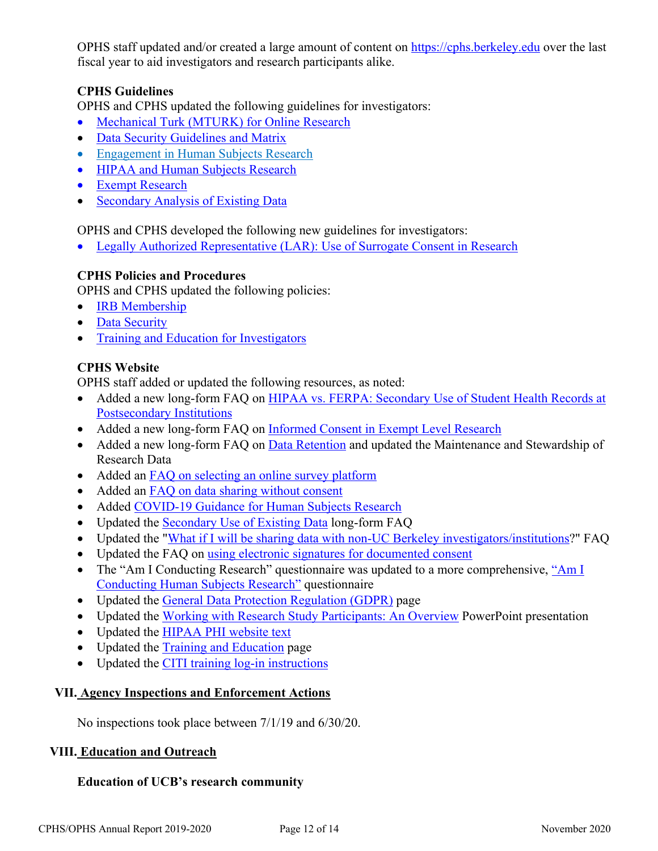OPHS staff updated and/or created a large amount of content on https://cphs.berkeley.edu over the last fiscal year to aid investigators and research participants alike.

## **CPHS Guidelines**

OPHS and CPHS updated the following guidelines for investigators:

- Mechanical Turk (MTURK) for Online Research
- Data Security Guidelines and Matrix
- Engagement in Human Subjects Research
- HIPAA and Human Subjects Research
- Exempt Research
- Secondary Analysis of Existing Data

OPHS and CPHS developed the following new guidelines for investigators:

• Legally Authorized Representative (LAR): Use of Surrogate Consent in Research

### **CPHS Policies and Procedures**

OPHS and CPHS updated the following policies:

- **IRB Membership**
- Data Security
- Training and Education for Investigators

## **CPHS Website**

OPHS staff added or updated the following resources, as noted:

- Added a new long-form FAQ on HIPAA vs. FERPA: Secondary Use of Student Health Records at Postsecondary Institutions
- Added a new long-form FAQ on Informed Consent in Exempt Level Research
- Added a new long-form FAQ on Data Retention and updated the Maintenance and Stewardship of Research Data
- Added an FAQ on selecting an online survey platform
- Added an **FAQ** on data sharing without consent
- Added COVID-19 Guidance for Human Subjects Research
- Updated the Secondary Use of Existing Data long-form FAQ
- Updated the "What if I will be sharing data with non-UC Berkeley investigators/institutions?" FAQ
- Updated the FAQ on using electronic signatures for documented consent
- The "Am I Conducting Research" questionnaire was updated to a more comprehensive, "Am I Conducting Human Subjects Research" questionnaire
- Updated the General Data Protection Regulation (GDPR) page
- Updated the Working with Research Study Participants: An Overview PowerPoint presentation
- Updated the HIPAA PHI website text
- Updated the Training and Education page
- Updated the CITI training log-in instructions

### **VII. Agency Inspections and Enforcement Actions**

No inspections took place between 7/1/19 and 6/30/20.

### **VIII. Education and Outreach**

### **Education of UCB's research community**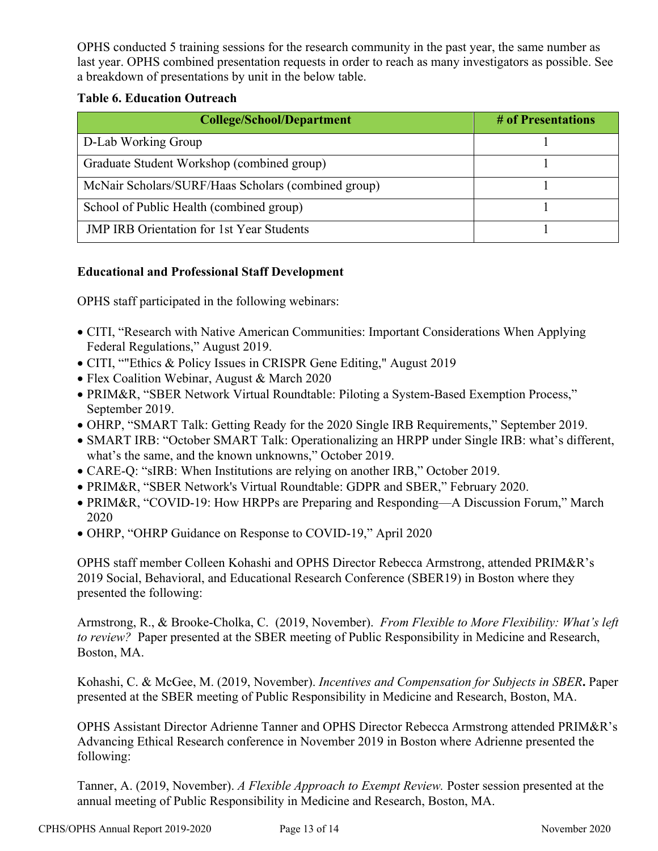OPHS conducted 5 training sessions for the research community in the past year, the same number as last year. OPHS combined presentation requests in order to reach as many investigators as possible. See a breakdown of presentations by unit in the below table.

### **Table 6. Education Outreach**

| <b>College/School/Department</b>                    | # of Presentations |
|-----------------------------------------------------|--------------------|
| D-Lab Working Group                                 |                    |
| Graduate Student Workshop (combined group)          |                    |
| McNair Scholars/SURF/Haas Scholars (combined group) |                    |
| School of Public Health (combined group)            |                    |
| <b>JMP IRB Orientation for 1st Year Students</b>    |                    |

## **Educational and Professional Staff Development**

OPHS staff participated in the following webinars:

- CITI, "Research with Native American Communities: Important Considerations When Applying Federal Regulations," August 2019.
- CITI, ""Ethics & Policy Issues in CRISPR Gene Editing," August 2019
- Flex Coalition Webinar, August & March 2020
- PRIM&R, "SBER Network Virtual Roundtable: Piloting a System-Based Exemption Process," September 2019.
- OHRP, "SMART Talk: Getting Ready for the 2020 Single IRB Requirements," September 2019.
- SMART IRB: "October SMART Talk: Operationalizing an HRPP under Single IRB: what's different, what's the same, and the known unknowns," October 2019.
- CARE-Q: "sIRB: When Institutions are relying on another IRB," October 2019.
- PRIM&R, "SBER Network's Virtual Roundtable: GDPR and SBER," February 2020.
- PRIM&R, "COVID-19: How HRPPs are Preparing and Responding—A Discussion Forum," March 2020
- OHRP, "OHRP Guidance on Response to COVID-19," April 2020

OPHS staff member Colleen Kohashi and OPHS Director Rebecca Armstrong, attended PRIM&R's 2019 Social, Behavioral, and Educational Research Conference (SBER19) in Boston where they presented the following:

Armstrong, R., & Brooke-Cholka, C. (2019, November). *From Flexible to More Flexibility: What's left to review?* Paper presented at the SBER meeting of Public Responsibility in Medicine and Research, Boston, MA.

Kohashi, C. & McGee, M. (2019, November). *Incentives and Compensation for Subjects in SBER***.** Paper presented at the SBER meeting of Public Responsibility in Medicine and Research, Boston, MA.

OPHS Assistant Director Adrienne Tanner and OPHS Director Rebecca Armstrong attended PRIM&R's Advancing Ethical Research conference in November 2019 in Boston where Adrienne presented the following:

Tanner, A. (2019, November). *A Flexible Approach to Exempt Review.* Poster session presented at the annual meeting of Public Responsibility in Medicine and Research, Boston, MA.